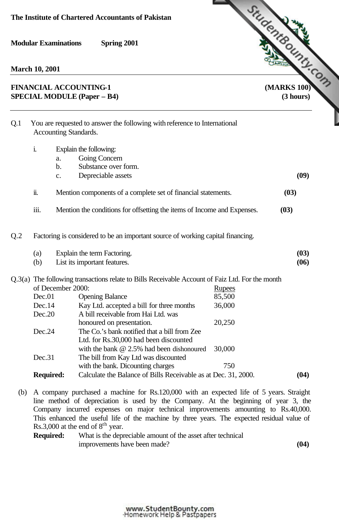**March 10, 2001**

# **SPECIAL MODULE (Paper – B4) (3 hours)**



| Q.1 | You are requested to answer the following with reference to International<br>Accounting Standards. |                                                               |                                                                         |               |      |  |  |
|-----|----------------------------------------------------------------------------------------------------|---------------------------------------------------------------|-------------------------------------------------------------------------|---------------|------|--|--|
|     | i.                                                                                                 |                                                               | Explain the following:                                                  |               |      |  |  |
|     |                                                                                                    | a.                                                            | Going Concern                                                           |               |      |  |  |
|     |                                                                                                    | $\mathbf b$ .                                                 | Substance over form.                                                    |               | (09) |  |  |
|     |                                                                                                    | c.                                                            | Depreciable assets                                                      |               |      |  |  |
|     | ii.                                                                                                | Mention components of a complete set of financial statements. |                                                                         |               |      |  |  |
|     | iii.                                                                                               |                                                               | Mention the conditions for offsetting the items of Income and Expenses. |               | (03) |  |  |
| Q.2 | Factoring is considered to be an important source of working capital financing.                    |                                                               |                                                                         |               |      |  |  |
|     | (a)                                                                                                | Explain the term Factoring.                                   |                                                                         |               |      |  |  |
|     | (b)                                                                                                |                                                               | List its important features.                                            |               | (06) |  |  |
|     | Q.3(a) The following transactions relate to Bills Receivable Account of Faiz Ltd. For the month    |                                                               |                                                                         |               |      |  |  |
|     | of December 2000:                                                                                  |                                                               |                                                                         | <b>Rupees</b> |      |  |  |
|     | Dec.01                                                                                             |                                                               | <b>Opening Balance</b>                                                  | 85,500        |      |  |  |
|     | Dec.14                                                                                             |                                                               | Kay Ltd. accepted a bill for three months                               | 36,000        |      |  |  |
|     | Dec.20                                                                                             |                                                               | A bill receivable from Hai Ltd. was                                     |               |      |  |  |
|     |                                                                                                    |                                                               | honoured on presentation.                                               | 20,250        |      |  |  |
|     | Dec.24                                                                                             |                                                               | The Co.'s bank notified that a bill from Zee                            |               |      |  |  |
|     |                                                                                                    |                                                               | Ltd. for Rs.30,000 had been discounted                                  |               |      |  |  |
|     |                                                                                                    |                                                               | with the bank $@$ 2.5% had been dishonoured                             | 30,000        |      |  |  |
|     | Dec.31                                                                                             |                                                               | The bill from Kay Ltd was discounted                                    |               |      |  |  |
|     |                                                                                                    |                                                               | with the bank. Dicounting charges                                       | 750           | (04) |  |  |
|     | Calculate the Balance of Bills Receivable as at Dec. 31, 2000.<br><b>Required:</b>                 |                                                               |                                                                         |               |      |  |  |

(b) A company purchased a machine for Rs.120,000 with an expected life of 5 years. Straight line method of depreciation is used by the Company. At the beginning of year 3, the Company incurred expenses on major technical improvements amounting to Rs.40,000. This enhanced the useful life of the machine by three years. The expected residual value of Rs.3,000 at the end of  $8<sup>th</sup>$  year.

**Required:** What is the depreciable amount of the asset after technical improvements have been made? **(04)**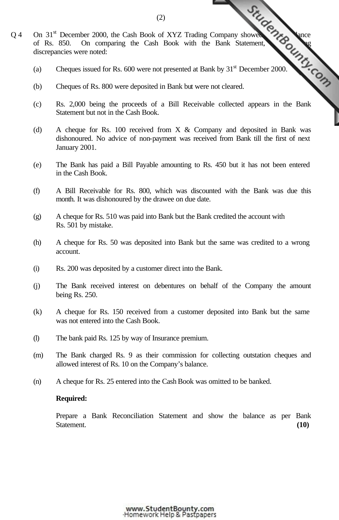- Q 4 On 31<sup>st</sup> December 2000, the Cash Book of XYZ Trading [Company showed a debit balance](http://www.studentbounty.com/) of Rs. 850. On comparing the Cash Book with the Bank Statement, and a debit balance in the Markov 31<sup>st</sup> December 2000 of Rs. 850. On comparing the Cash Book with the Bank Statement, discrepancies were noted:
	- (a) Cheques issued for Rs. 600 were not presented at Bank by  $31<sup>st</sup>$  December 2000.
	- (b) Cheques of Rs. 800 were deposited in Bank but were not cleared.
	- (c) Rs. 2,000 being the proceeds of a Bill Receivable collected appears in the Bank Statement but not in the Cash Book.
	- (d) A cheque for Rs. 100 received from X & Company and deposited in Bank was dishonoured. No advice of non-payment was received from Bank till the first of next January 2001.
	- (e) The Bank has paid a Bill Payable amounting to Rs. 450 but it has not been entered in the Cash Book.
	- (f) A Bill Receivable for Rs. 800, which was discounted with the Bank was due this month. It was dishonoured by the drawee on due date.
	- (g) A cheque for Rs. 510 was paid into Bank but the Bank credited the account with Rs. 501 by mistake.
	- (h) A cheque for Rs. 50 was deposited into Bank but the same was credited to a wrong account.
	- (i) Rs. 200 was deposited by a customer direct into the Bank.
	- (j) The Bank received interest on debentures on behalf of the Company the amount being Rs. 250.
	- (k) A cheque for Rs. 150 received from a customer deposited into Bank but the same was not entered into the Cash Book.
	- (l) The bank paid Rs. 125 by way of Insurance premium.
	- (m) The Bank charged Rs. 9 as their commission for collecting outstation cheques and allowed interest of Rs. 10 on the Company's balance.
	- (n) A cheque for Rs. 25 entered into the Cash Book was omitted to be banked.

### **Required:**

Prepare a Bank Reconciliation Statement and show the balance as per Bank Statement. **(10)** Statement. **(10)**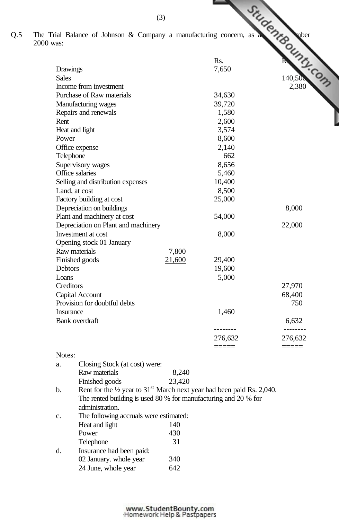Q.5 The Trial Balance of Johnson & Company a manufacturing concern, as a 31st December 2000

| was:          |                                                                                              |        |          |          |
|---------------|----------------------------------------------------------------------------------------------|--------|----------|----------|
|               |                                                                                              |        | Rs.      | Umr.Com  |
|               | Drawings                                                                                     |        | 7,650    |          |
| <b>Sales</b>  |                                                                                              |        |          |          |
|               | Income from investment                                                                       |        |          |          |
|               | Purchase of Raw materials                                                                    |        | 34,630   |          |
|               | Manufacturing wages                                                                          |        | 39,720   |          |
|               | Repairs and renewals                                                                         |        | 1,580    |          |
| Rent          |                                                                                              |        | 2,600    |          |
|               | Heat and light                                                                               |        | 3,574    |          |
| Power         |                                                                                              |        | 8,600    |          |
|               | Office expense                                                                               |        | 2,140    |          |
|               | Telephone                                                                                    |        | 662      |          |
|               | Supervisory wages                                                                            |        | 8,656    |          |
|               | Office salaries                                                                              |        | 5,460    |          |
|               | Selling and distribution expenses                                                            |        | 10,400   |          |
|               | Land, at cost                                                                                |        | 8,500    |          |
|               | Factory building at cost                                                                     |        | 25,000   |          |
|               | Depreciation on buildings                                                                    |        |          | 8,000    |
|               | Plant and machinery at cost                                                                  |        | 54,000   |          |
|               | Depreciation on Plant and machinery                                                          |        |          | 22,000   |
|               | Investment at cost                                                                           |        | 8,000    |          |
|               | Opening stock 01 January                                                                     |        |          |          |
|               | Raw materials                                                                                |        |          |          |
|               | Finished goods                                                                               |        | 29,400   |          |
| Debtors       |                                                                                              |        | 19,600   |          |
| Loans         |                                                                                              |        | 5,000    |          |
|               | Creditors                                                                                    |        |          | 27,970   |
|               | Capital Account                                                                              |        |          | 68,400   |
|               | Provision for doubtful debts                                                                 |        |          | 750      |
|               | Insurance                                                                                    |        | 1,460    |          |
|               | Bank overdraft                                                                               |        |          | 6,632    |
|               |                                                                                              |        | -------- | -------- |
|               |                                                                                              |        | 276,632  | 276,632  |
| Notes:        |                                                                                              |        | =====    |          |
| a.            | Closing Stock (at cost) were:                                                                |        |          |          |
|               | Raw materials                                                                                | 8,240  |          |          |
|               | Finished goods                                                                               | 23,420 |          |          |
| $\mathbf b$ . | Rent for the $\frac{1}{2}$ year to 31 <sup>st</sup> March next year had been paid Rs. 2,040. |        |          |          |
|               | The rented building is used 80 % for manufacturing and 20 % for                              |        |          |          |
|               | administration.                                                                              |        |          |          |
| c.            | The following accruals were estimated:                                                       |        |          |          |
|               | Heat and light                                                                               | 140    |          |          |
|               | Power                                                                                        | 430    |          |          |

| 31                       |
|--------------------------|
| Insurance had been paid: |
| 340                      |
| 642                      |
|                          |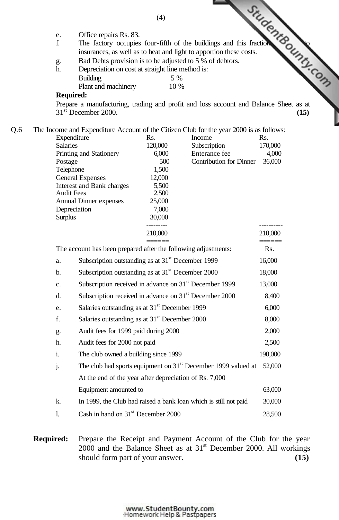|     |                   |                                                                    |                   | Office repairs Rs. 83.<br>The factory occupies four-fifth of the buildings and this fraction<br>incurances, as well as to heat and light to apportion these costs.<br>interval is to be adjusted to 5 % of debtors. |                  |
|-----|-------------------|--------------------------------------------------------------------|-------------------|---------------------------------------------------------------------------------------------------------------------------------------------------------------------------------------------------------------------|------------------|
|     | e.                |                                                                    |                   |                                                                                                                                                                                                                     |                  |
|     | f.                |                                                                    |                   |                                                                                                                                                                                                                     |                  |
|     | g.                |                                                                    |                   |                                                                                                                                                                                                                     |                  |
|     | h.                |                                                                    |                   |                                                                                                                                                                                                                     |                  |
|     |                   |                                                                    |                   |                                                                                                                                                                                                                     |                  |
|     |                   |                                                                    |                   |                                                                                                                                                                                                                     |                  |
|     | <b>Required:</b>  |                                                                    |                   |                                                                                                                                                                                                                     |                  |
|     |                   | $31st$ December 2000.                                              |                   | Prepare a manufacturing, trading and profit and loss account and Balance Sheet as at                                                                                                                                | (15)             |
| Q.6 |                   |                                                                    |                   | The Income and Expenditure Account of the Citizen Club for the year 2000 is as follows:                                                                                                                             |                  |
|     | Expenditure       |                                                                    | Rs.               | Income                                                                                                                                                                                                              | Rs.              |
|     | Salaries          | Printing and Stationery                                            | 120,000<br>6,000  | Subscription<br>Enterance fee                                                                                                                                                                                       | 170,000<br>4,000 |
|     | Postage           |                                                                    | 500               | <b>Contribution for Dinner</b>                                                                                                                                                                                      | 36,000           |
|     | Telephone         |                                                                    | 1,500             |                                                                                                                                                                                                                     |                  |
|     |                   | <b>General Expenses</b>                                            | 12,000<br>5,500   |                                                                                                                                                                                                                     |                  |
|     | <b>Audit Fees</b> | Interest and Bank charges                                          | 2,500             |                                                                                                                                                                                                                     |                  |
|     |                   | <b>Annual Dinner expenses</b>                                      | 25,000            |                                                                                                                                                                                                                     |                  |
|     | Depreciation      |                                                                    | 7,000             |                                                                                                                                                                                                                     |                  |
|     | <b>Surplus</b>    |                                                                    | 30,000<br>------- |                                                                                                                                                                                                                     |                  |
|     |                   |                                                                    | 210,000           |                                                                                                                                                                                                                     | 210,000          |
|     |                   | The account has been prepared after the following adjustments:     |                   |                                                                                                                                                                                                                     |                  |
|     | a.                | Subscription outstanding as at $31st$ December 1999                |                   |                                                                                                                                                                                                                     | 16,000           |
|     | b.                | Subscription outstanding as at 31 <sup>st</sup> December 2000      |                   |                                                                                                                                                                                                                     | 18,000           |
|     | c.                | Subscription received in advance on 31 <sup>st</sup> December 1999 |                   |                                                                                                                                                                                                                     | 13,000           |
|     | d.                | Subscription received in advance on 31 <sup>st</sup> December 2000 |                   |                                                                                                                                                                                                                     | 8,400            |
|     | e.                | Salaries outstanding as at $31st$ December 1999                    |                   |                                                                                                                                                                                                                     | 6,000            |
|     | f.                | Salaries outstanding as at 31 <sup>st</sup> December 2000          |                   |                                                                                                                                                                                                                     | 8,000            |
|     | g.                | Audit fees for 1999 paid during 2000                               |                   |                                                                                                                                                                                                                     | 2,000            |
|     | h.                | Audit fees for 2000 not paid                                       |                   |                                                                                                                                                                                                                     | 2,500            |
|     |                   | The club owned a building since 1999                               |                   |                                                                                                                                                                                                                     | 190,000          |
|     | i.                |                                                                    |                   |                                                                                                                                                                                                                     |                  |
|     | j.                |                                                                    |                   | The club had sports equipment on $31st$ December 1999 valued at                                                                                                                                                     | 52,000           |
|     |                   | At the end of the year after depreciation of Rs. 7,000             |                   |                                                                                                                                                                                                                     |                  |
|     |                   | Equipment amounted to                                              |                   |                                                                                                                                                                                                                     | 63,000           |
|     | k.                |                                                                    |                   | In 1999, the Club had raised a bank loan which is still not paid                                                                                                                                                    | 30,000           |

## **Required:** Prepare the Receipt and Payment Account of the Club for the year  $2000$  and the Balance Sheet as at  $31<sup>st</sup>$  December 2000. All workings should form part of your answer. **(15)**